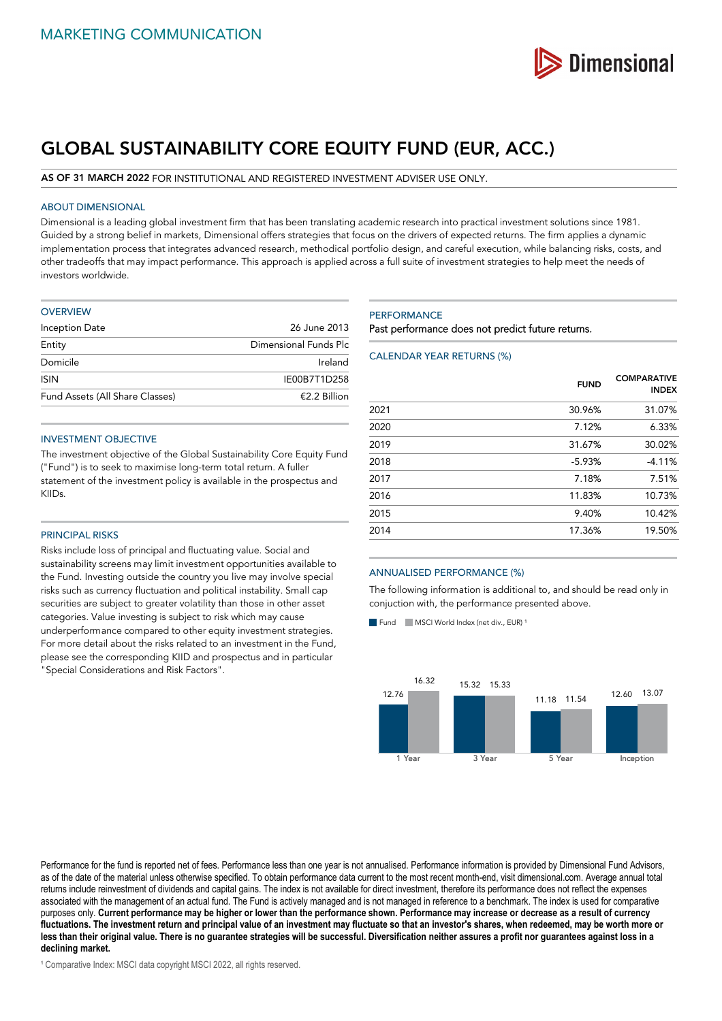

# **GLOBAL SUSTAINABILITY CORE EQUITY FUND (EUR, ACC.)**

#### **AS OF 31 MARCH 2022** FOR INSTITUTIONAL AND REGISTERED INVESTMENT ADVISER USE ONLY.

## ABOUT DIMENSIONAL

Dimensional is a leading global investment firm that has been translating academic research into practical investment solutions since 1981. Guided by a strong belief in markets, Dimensional offers strategies that focus on the drivers of expected returns. The firm applies a dynamic implementation process that integrates advanced research, methodical portfolio design, and careful execution, while balancing risks, costs, and other tradeoffs that may impact performance. This approach is applied across a full suite of investment strategies to help meet the needs of investors worldwide.

| <b>OVERVIEW</b>                 |                       |
|---------------------------------|-----------------------|
| Inception Date                  | 26 June 2013          |
| Entity                          | Dimensional Funds Plc |
| Domicile                        | Ireland               |
| <b>ISIN</b>                     | IE00B7T1D258          |
| Fund Assets (All Share Classes) | €2.2 Billion          |

## INVESTMENT OBJECTIVE

The investment objective of the Global Sustainability Core Equity Fund ("Fund") is to seek to maximise long-term total return. A fuller statement of the investment policy is available in the prospectus and KIIDs.

#### PRINCIPAL RISKS

Risks include loss of principal and fluctuating value. Social and sustainability screens may limit investment opportunities available to the Fund. Investing outside the country you live may involve special risks such as currency fluctuation and political instability. Small cap securities are subject to greater volatility than those in other asset categories. Value investing is subject to risk which may cause underperformance compared to other equity investment strategies. For more detail about the risks related to an investment in the Fund, please see the corresponding KIID and prospectus and in particular "Special Considerations and Risk Factors".

#### **PERFORMANCE**

Past performance does not predict future returns.

## CALENDAR YEAR RETURNS (%)

|      | <b>FUND</b> | <b>COMPARATIVE</b><br><b>INDEX</b> |
|------|-------------|------------------------------------|
| 2021 | 30.96%      | 31.07%                             |
| 2020 | 7.12%       | 6.33%                              |
| 2019 | 31.67%      | 30.02%                             |
| 2018 | $-5.93%$    | $-4.11%$                           |
| 2017 | 7.18%       | 7.51%                              |
| 2016 | 11.83%      | 10.73%                             |
| 2015 | 9.40%       | 10.42%                             |
| 2014 | 17.36%      | 19.50%                             |
|      |             |                                    |

## ANNUALISED PERFORMANCE (%)

The following information is additional to, and should be read only in conjuction with, the performance presented above.

Fund  $\blacksquare$  MSCI World Index (net div., EUR)<sup>1</sup>



Performance for the fund is reported net of fees. Performance less than one year is not annualised. Performance information is provided by Dimensional Fund Advisors, as of the date of the material unless otherwise specified. To obtain performance data current to the most recent month-end, visit dimensional.com. Average annual total returns include reinvestment of dividends and capital gains. The index is not available for direct investment, therefore its performance does not reflect the expenses associated with the management of an actual fund. The Fund is actively managed and is not managed in reference to a benchmark. The index is used for comparative purposes only. **Current performance may be higher or lower than the performance shown. Performance may increase or decrease as a result of currency fluctuations. The investment return and principal value of an investment may fluctuate so that an investor's shares, when redeemed, may be worth more or less than their original value. There is no guarantee strategies will be successful. Diversification neither assures a profit nor guarantees against loss in a declining market.**

<sup>1</sup> Comparative Index: MSCI data copyright MSCI 2022, all rights reserved.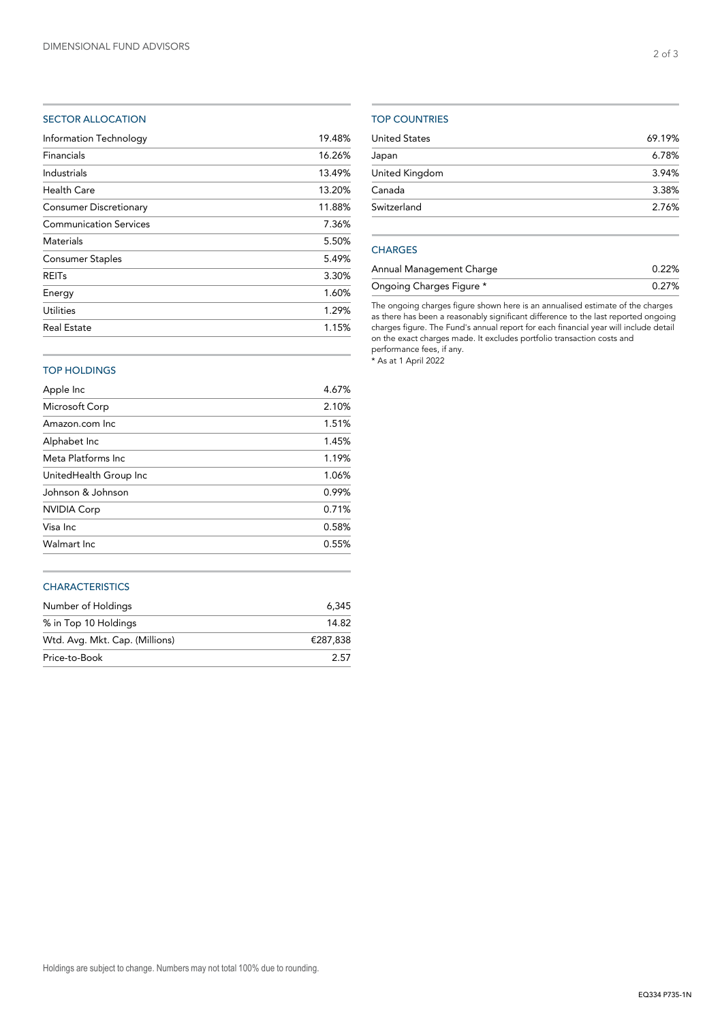# SECTOR ALLOCATION

| 19.48% |
|--------|
| 16.26% |
| 13.49% |
| 13.20% |
| 11.88% |
| 7.36%  |
| 5.50%  |
| 5.49%  |
| 3.30%  |
| 1.60%  |
| 1.29%  |
| 1.15%  |
|        |

# TOP COUNTRIES

| <b>United States</b> | 69.19% |
|----------------------|--------|
| Japan                | 6.78%  |
| United Kingdom       | 3.94%  |
| Canada               | 3.38%  |
| Switzerland          | 2.76%  |
|                      |        |

# **CHARGES**

| Annual Management Charge | 0.22% |
|--------------------------|-------|
| Ongoing Charges Figure * | 0.27% |

The ongoing charges figure shown here is an annualised estimate of the charges as there has been a reasonably significant difference to the last reported ongoing charges figure. The Fund's annual report for each financial year will include detail on the exact charges made. It excludes portfolio transaction costs and performance fees, if any.

\* As at 1 April 2022

# TOP HOLDINGS

| Apple Inc              | 4.67% |
|------------------------|-------|
| Microsoft Corp         | 2.10% |
| Amazon.com Inc.        | 1.51% |
| Alphabet Inc           | 1.45% |
| Meta Platforms Inc.    | 1.19% |
| UnitedHealth Group Inc | 1.06% |
| Johnson & Johnson      | 0.99% |
| <b>NVIDIA Corp</b>     | 0.71% |
| Visa Inc.              | 0.58% |
| Walmart Inc.           | 0.55% |
|                        |       |

## **CHARACTERISTICS**

| Number of Holdings             | 6.345    |
|--------------------------------|----------|
| % in Top 10 Holdings           | 14.82    |
| Wtd. Avg. Mkt. Cap. (Millions) | €287.838 |
| Price-to-Book                  | 2.57     |

2 of 3